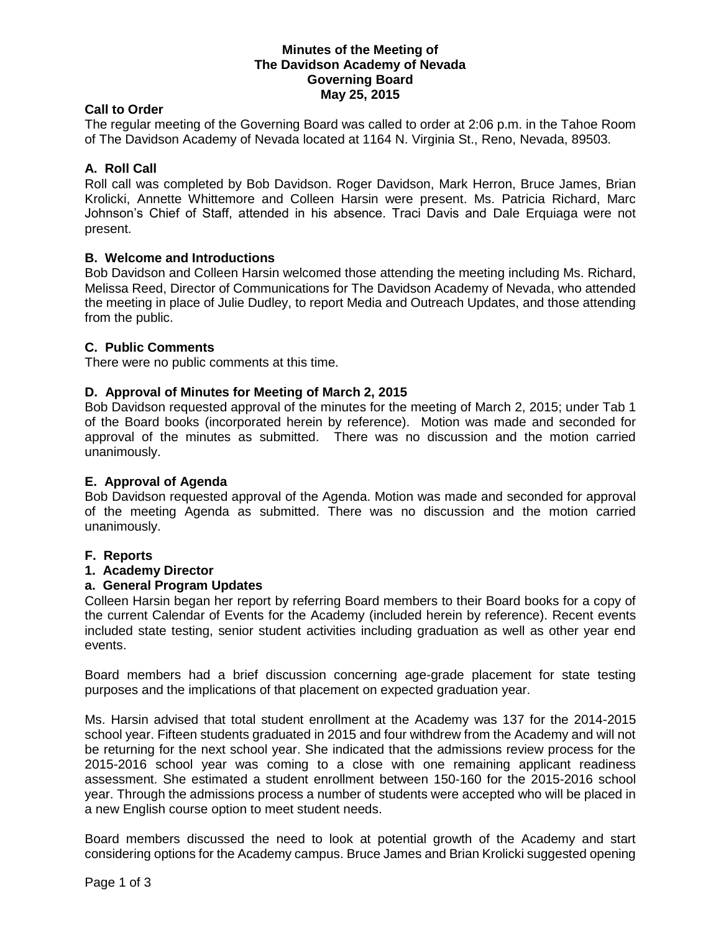### **Minutes of the Meeting of The Davidson Academy of Nevada Governing Board May 25, 2015**

### **Call to Order**

The regular meeting of the Governing Board was called to order at 2:06 p.m. in the Tahoe Room of The Davidson Academy of Nevada located at 1164 N. Virginia St., Reno, Nevada, 89503.

## **A. Roll Call**

Roll call was completed by Bob Davidson. Roger Davidson, Mark Herron, Bruce James, Brian Krolicki, Annette Whittemore and Colleen Harsin were present. Ms. Patricia Richard, Marc Johnson's Chief of Staff, attended in his absence. Traci Davis and Dale Erquiaga were not present.

### **B. Welcome and Introductions**

Bob Davidson and Colleen Harsin welcomed those attending the meeting including Ms. Richard, Melissa Reed, Director of Communications for The Davidson Academy of Nevada, who attended the meeting in place of Julie Dudley, to report Media and Outreach Updates, and those attending from the public.

## **C. Public Comments**

There were no public comments at this time.

## **D. Approval of Minutes for Meeting of March 2, 2015**

Bob Davidson requested approval of the minutes for the meeting of March 2, 2015; under Tab 1 of the Board books (incorporated herein by reference). Motion was made and seconded for approval of the minutes as submitted. There was no discussion and the motion carried unanimously.

### **E. Approval of Agenda**

Bob Davidson requested approval of the Agenda. Motion was made and seconded for approval of the meeting Agenda as submitted. There was no discussion and the motion carried unanimously.

### **F. Reports**

### **1. Academy Director**

### **a. General Program Updates**

Colleen Harsin began her report by referring Board members to their Board books for a copy of the current Calendar of Events for the Academy (included herein by reference). Recent events included state testing, senior student activities including graduation as well as other year end events.

Board members had a brief discussion concerning age-grade placement for state testing purposes and the implications of that placement on expected graduation year.

Ms. Harsin advised that total student enrollment at the Academy was 137 for the 2014-2015 school year. Fifteen students graduated in 2015 and four withdrew from the Academy and will not be returning for the next school year. She indicated that the admissions review process for the 2015-2016 school year was coming to a close with one remaining applicant readiness assessment. She estimated a student enrollment between 150-160 for the 2015-2016 school year. Through the admissions process a number of students were accepted who will be placed in a new English course option to meet student needs.

Board members discussed the need to look at potential growth of the Academy and start considering options for the Academy campus. Bruce James and Brian Krolicki suggested opening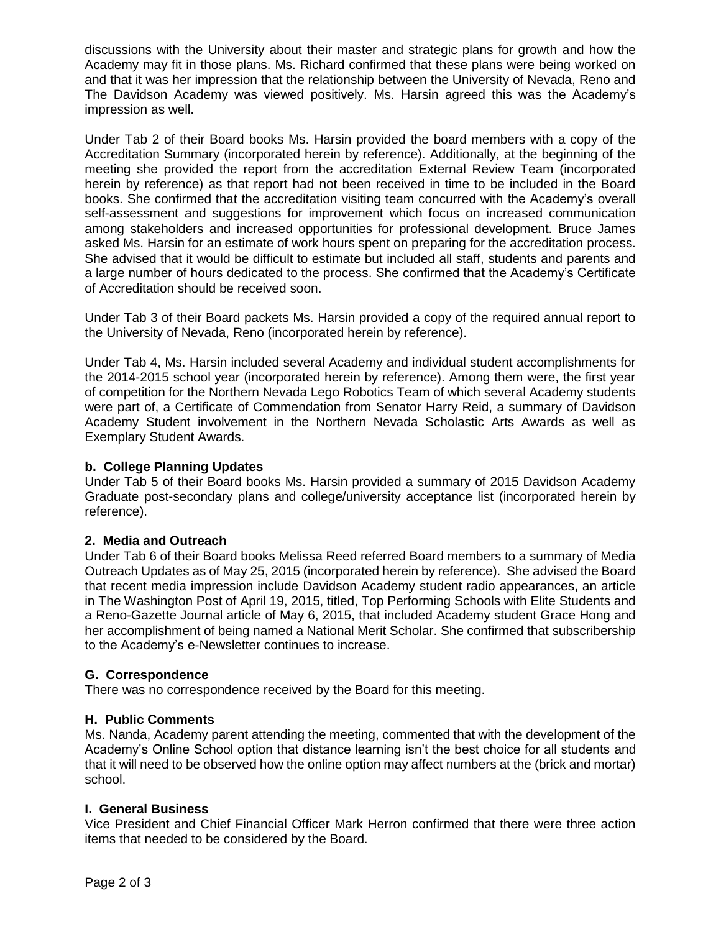discussions with the University about their master and strategic plans for growth and how the Academy may fit in those plans. Ms. Richard confirmed that these plans were being worked on and that it was her impression that the relationship between the University of Nevada, Reno and The Davidson Academy was viewed positively. Ms. Harsin agreed this was the Academy's impression as well.

Under Tab 2 of their Board books Ms. Harsin provided the board members with a copy of the Accreditation Summary (incorporated herein by reference). Additionally, at the beginning of the meeting she provided the report from the accreditation External Review Team (incorporated herein by reference) as that report had not been received in time to be included in the Board books. She confirmed that the accreditation visiting team concurred with the Academy's overall self-assessment and suggestions for improvement which focus on increased communication among stakeholders and increased opportunities for professional development. Bruce James asked Ms. Harsin for an estimate of work hours spent on preparing for the accreditation process. She advised that it would be difficult to estimate but included all staff, students and parents and a large number of hours dedicated to the process. She confirmed that the Academy's Certificate of Accreditation should be received soon.

Under Tab 3 of their Board packets Ms. Harsin provided a copy of the required annual report to the University of Nevada, Reno (incorporated herein by reference).

Under Tab 4, Ms. Harsin included several Academy and individual student accomplishments for the 2014-2015 school year (incorporated herein by reference). Among them were, the first year of competition for the Northern Nevada Lego Robotics Team of which several Academy students were part of, a Certificate of Commendation from Senator Harry Reid, a summary of Davidson Academy Student involvement in the Northern Nevada Scholastic Arts Awards as well as Exemplary Student Awards.

## **b. College Planning Updates**

Under Tab 5 of their Board books Ms. Harsin provided a summary of 2015 Davidson Academy Graduate post-secondary plans and college/university acceptance list (incorporated herein by reference).

# **2. Media and Outreach**

Under Tab 6 of their Board books Melissa Reed referred Board members to a summary of Media Outreach Updates as of May 25, 2015 (incorporated herein by reference). She advised the Board that recent media impression include Davidson Academy student radio appearances, an article in The Washington Post of April 19, 2015, titled, Top Performing Schools with Elite Students and a Reno-Gazette Journal article of May 6, 2015, that included Academy student Grace Hong and her accomplishment of being named a National Merit Scholar. She confirmed that subscribership to the Academy's e-Newsletter continues to increase.

# **G. Correspondence**

There was no correspondence received by the Board for this meeting.

# **H. Public Comments**

Ms. Nanda, Academy parent attending the meeting, commented that with the development of the Academy's Online School option that distance learning isn't the best choice for all students and that it will need to be observed how the online option may affect numbers at the (brick and mortar) school.

### **I. General Business**

Vice President and Chief Financial Officer Mark Herron confirmed that there were three action items that needed to be considered by the Board.